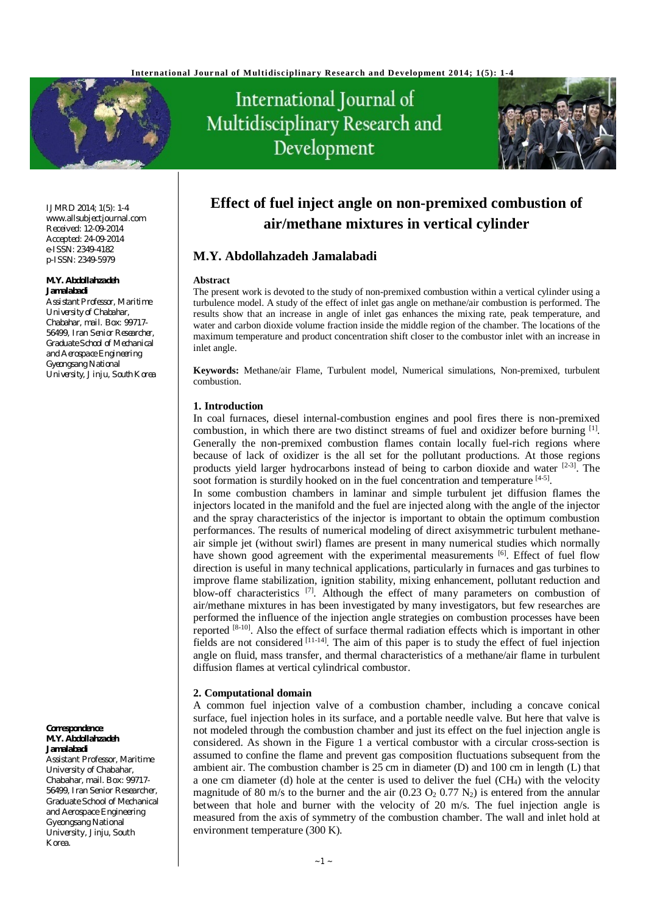

# International Journal of Multidisciplinary Research and Development



IJMRD 2014; 1(5): 1-4 [www.allsubjectjournal.com](http://www.allsubjectjournal.com) Received: 12-09-2014 Accepted: 24-09-2014 e-ISSN: 2349-4182 p-ISSN: 2349-5979

# **M.Y. Abdollahzadeh Jamalabadi**

*Assistant Professor, Maritime University of Chabahar, Chabahar, mail. Box: 99717- 56499, Iran Senior Researcher, Graduate School of Mechanical and Aerospace Engineering Gyeongsang National University, Jinju, South Korea*

**Correspondence**: **M.Y. Abdollahzadeh Jamalabadi**

Assistant Professor, Maritime University of Chabahar, Chabahar, mail. Box: 99717- 56499, Iran Senior Researcher, Graduate School of Mechanical and Aerospace Engineering Gyeongsang National University, Jinju, South Korea.

# **Effect of fuel inject angle on non-premixed combustion of air/methane mixtures in vertical cylinder**

# **M.Y. Abdollahzadeh Jamalabadi**

# **Abstract**

The present work is devoted to the study of non-premixed combustion within a vertical cylinder using a turbulence model. A study of the effect of inlet gas angle on methane/air combustion is performed. The results show that an increase in angle of inlet gas enhances the mixing rate, peak temperature, and water and carbon dioxide volume fraction inside the middle region of the chamber. The locations of the maximum temperature and product concentration shift closer to the combustor inlet with an increase in inlet angle.

**Keywords:** Methane/air Flame, Turbulent model, Numerical simulations, Non-premixed, turbulent combustion.

# **1. Introduction**

In coal furnaces, diesel internal-combustion engines and pool fires there is non-premixed combustion, in which there are two distinct streams of fuel and oxidizer before burning [1]. Generally the non-premixed combustion flames contain locally fuel-rich regions where because of lack of oxidizer is the all set for the pollutant productions. At those regions products yield larger hydrocarbons instead of being to carbon dioxide and water <sup>[2-3]</sup>. The soot formation is sturdily hooked on in the fuel concentration and temperature [4-5].

In some combustion chambers in laminar and simple turbulent jet diffusion flames the injectors located in the manifold and the fuel are injected along with the angle of the injector and the spray characteristics of the injector is important to obtain the optimum combustion performances. The results of numerical modeling of direct axisymmetric turbulent methaneair simple jet (without swirl) flames are present in many numerical studies which normally have shown good agreement with the experimental measurements [6]. Effect of fuel flow direction is useful in many technical applications, particularly in furnaces and gas turbines to improve flame stabilization, ignition stability, mixing enhancement, pollutant reduction and blow-off characteristics<sup>[7]</sup>. Although the effect of many parameters on combustion of air/methane mixtures in has been investigated by many investigators, but few researches are performed the influence of the injection angle strategies on combustion processes have been reported <sup>[8-10]</sup>. Also the effect of surface thermal radiation effects which is important in other fields are not considered  $[11-14]$ . The aim of this paper is to study the effect of fuel injection angle on fluid, mass transfer, and thermal characteristics of a methane/air flame in turbulent diffusion flames at vertical cylindrical combustor.

# **2. Computational domain**

A common fuel injection valve of a combustion chamber, including a concave conical surface, fuel injection holes in its surface, and a portable needle valve. But here that valve is not modeled through the combustion chamber and just its effect on the fuel injection angle is considered. As shown in the Figure 1 a vertical combustor with a circular cross-section is assumed to confine the flame and prevent gas composition fluctuations subsequent from the ambient air. The combustion chamber is 25 cm in diameter (D) and 100 cm in length (L) that a one cm diameter (d) hole at the center is used to deliver the fuel (CH4) with the velocity magnitude of 80 m/s to the burner and the air  $(0.23 \text{ O}_2 \cdot 0.77 \text{ N}_2)$  is entered from the annular between that hole and burner with the velocity of 20 m/s. The fuel injection angle is measured from the axis of symmetry of the combustion chamber. The wall and inlet hold at environment temperature (300 K).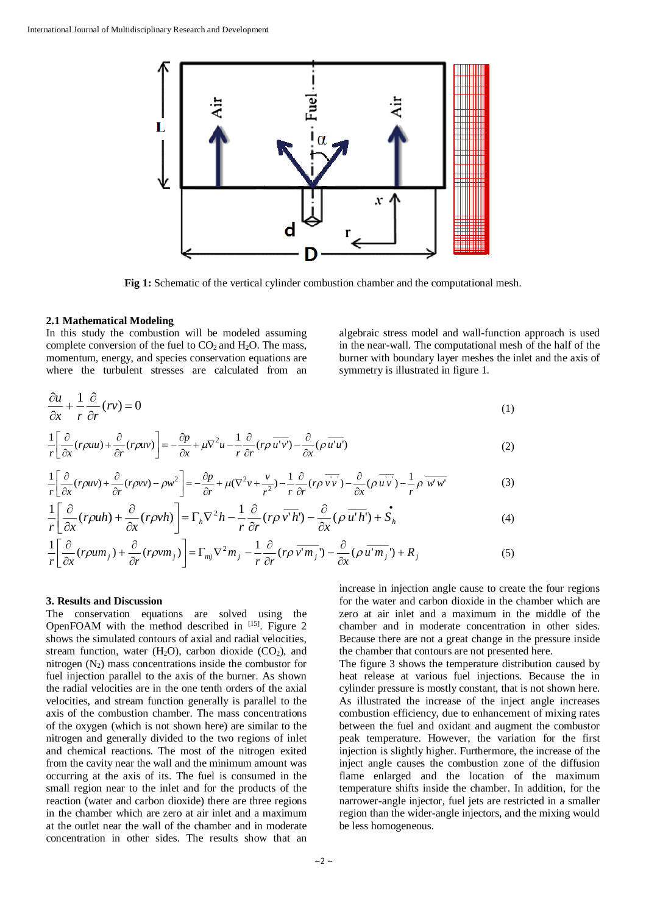

**Fig 1:** Schematic of the vertical cylinder combustion chamber and the computational mesh.

#### **2.1 Mathematical Modeling**

In this study the combustion will be modeled assuming complete conversion of the fuel to  $CO<sub>2</sub>$  and  $H<sub>2</sub>O$ . The mass, momentum, energy, and species conservation equations are where the turbulent stresses are calculated from an

algebraic stress model and wall-function approach is used in the near-wall. The computational mesh of the half of the burner with boundary layer meshes the inlet and the axis of symmetry is illustrated in figure 1.

$$
\frac{\partial u}{\partial x} + \frac{1}{r} \frac{\partial}{\partial r} (rv) = 0 \tag{1}
$$

$$
\frac{1}{r} \left[ \frac{\partial}{\partial x} (r \rho u u) + \frac{\partial}{\partial r} (r \rho u v) \right] = -\frac{\partial p}{\partial x} + \mu \nabla^2 u - \frac{1}{r} \frac{\partial}{\partial r} (r \rho \overline{u' v'}) - \frac{\partial}{\partial x} (\rho \overline{u' u'}) \tag{2}
$$

$$
\frac{1}{r} \left[ \frac{\partial}{\partial x} (r \rho u v) + \frac{\partial}{\partial r} (r \rho v v) - \rho w^2 \right] = -\frac{\partial p}{\partial r} + \mu (\nabla^2 v + \frac{v}{r^2}) - \frac{1}{r} \frac{\partial}{\partial r} (r \rho \overline{v v} + \frac{\partial}{\partial x} (\rho \overline{u v}) - \frac{1}{r} \rho \overline{w' w'} \tag{3}
$$

$$
\frac{1}{r} \left[ \frac{\partial}{\partial x} (r \rho u h) + \frac{\partial}{\partial x} (r \rho v h) \right] = \Gamma_h \nabla^2 h - \frac{1}{r} \frac{\partial}{\partial r} (r \rho \overline{v'h'}) - \frac{\partial}{\partial x} (\rho \overline{u'h'}) + \overline{S}_h \tag{4}
$$

$$
\frac{1}{r} \left[ \frac{\partial}{\partial x} (r\rho u m_j) + \frac{\partial}{\partial r} (r\rho v m_j) \right] = \Gamma_{mj} \nabla^2 m_j - \frac{1}{r} \frac{\partial}{\partial r} (r\rho \overline{v' m_j}) - \frac{\partial}{\partial x} (\rho \overline{u' m_j}) + R_j \tag{5}
$$

### **3. Results and Discussion**

The conservation equations are solved using the OpenFOAM with the method described in  $^{[15]}$ . Figure 2 shows the simulated contours of axial and radial velocities, stream function, water  $(H_2O)$ , carbon dioxide  $(CO_2)$ , and nitrogen  $(N_2)$  mass concentrations inside the combustor for fuel injection parallel to the axis of the burner. As shown the radial velocities are in the one tenth orders of the axial velocities, and stream function generally is parallel to the axis of the combustion chamber. The mass concentrations of the oxygen (which is not shown here) are similar to the nitrogen and generally divided to the two regions of inlet and chemical reactions. The most of the nitrogen exited from the cavity near the wall and the minimum amount was occurring at the axis of its. The fuel is consumed in the small region near to the inlet and for the products of the reaction (water and carbon dioxide) there are three regions in the chamber which are zero at air inlet and a maximum at the outlet near the wall of the chamber and in moderate concentration in other sides. The results show that an increase in injection angle cause to create the four regions for the water and carbon dioxide in the chamber which are zero at air inlet and a maximum in the middle of the chamber and in moderate concentration in other sides. Because there are not a great change in the pressure inside the chamber that contours are not presented here.

The figure 3 shows the temperature distribution caused by heat release at various fuel injections. Because the in cylinder pressure is mostly constant, that is not shown here. As illustrated the increase of the inject angle increases combustion efficiency, due to enhancement of mixing rates between the fuel and oxidant and augment the combustor peak temperature. However, the variation for the first injection is slightly higher. Furthermore, the increase of the inject angle causes the combustion zone of the diffusion flame enlarged and the location of the maximum temperature shifts inside the chamber. In addition, for the narrower-angle injector, fuel jets are restricted in a smaller region than the wider-angle injectors, and the mixing would be less homogeneous.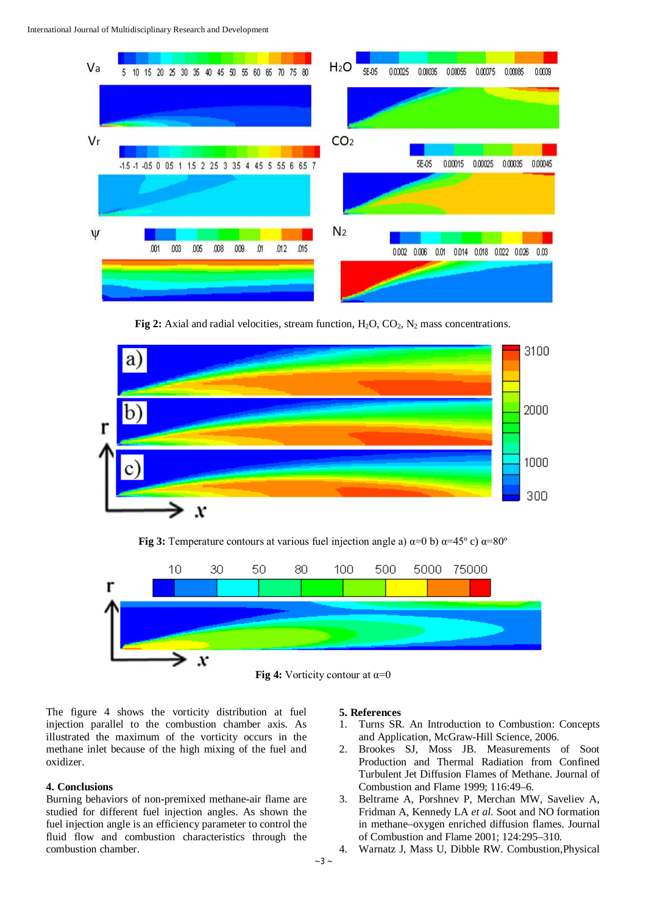

**Fig 2:** Axial and radial velocities, stream function, H<sub>2</sub>O, CO<sub>2</sub>, N<sub>2</sub> mass concentrations.



**Fig** 3: Temperature contours at various fuel injection angle a)  $\alpha=0$  b)  $\alpha=45^{\circ}$  c)  $\alpha=80^{\circ}$ 





The figure 4 shows the vorticity distribution at fuel injection parallel to the combustion chamber axis. As illustrated the maximum of the vorticity occurs in the methane inlet because of the high mixing of the fuel and oxidizer.

# **4. Conclusions**

Burning behaviors of non-premixed methane-air flame are studied for different fuel injection angles. As shown the fuel injection angle is an efficiency parameter to control the fluid flow and combustion characteristics through the combustion chamber.

#### **5. References**

- 1. Turns SR. An Introduction to Combustion: Concepts and Application, McGraw-Hill Science, 2006.
- 2. Brookes SJ, Moss JB. Measurements of Soot Production and Thermal Radiation from Confined Turbulent Jet Diffusion Flames of Methane. Journal of Combustion and Flame 1999; 116:49–6.
- 3. Beltrame A, Porshnev P, Merchan MW, Saveliev A, Fridman A, Kennedy LA *et al.* Soot and NO formation in methane–oxygen enriched diffusion flames. Journal of Combustion and Flame 2001; 124:295–310.
- 4. Warnatz J, Mass U, Dibble RW. Combustion,Physical